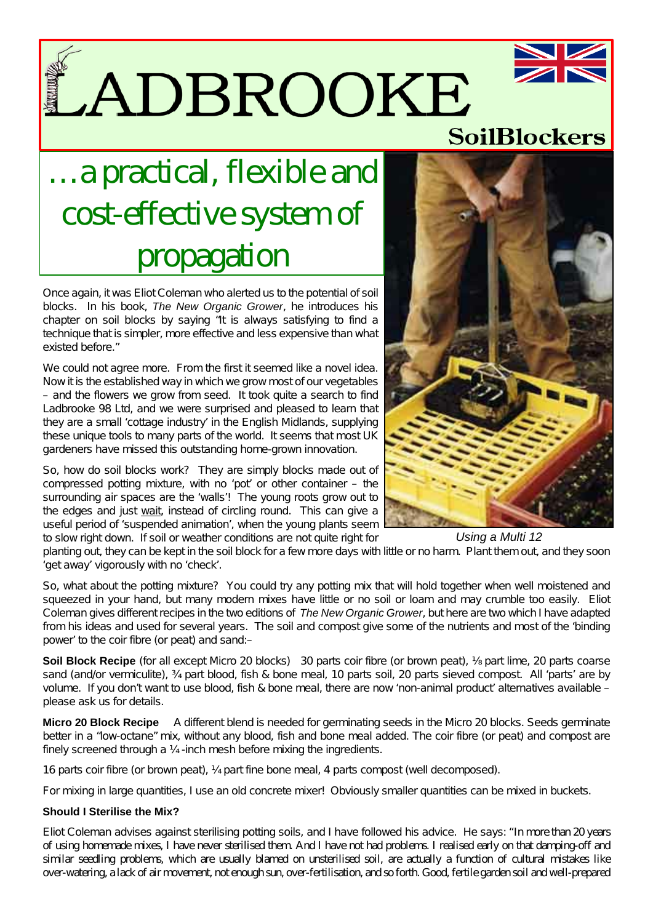LADBROOKE

## …a practical, flexible and cost-effective system of propagation

Once again, it was Eliot Coleman who alerted us to the potential of soil blocks. In his book, *The New Organic Grower*, he introduces his chapter on soil blocks by saying "It is always satisfying to find a technique that is simpler, more effective and less expensive than what existed before."

We could not agree more. From the first it seemed like a novel idea. Now it is the established way in which we grow most of our vegetables – and the flowers we grow from seed. It took quite a search to find Ladbrooke 98 Ltd, and we were surprised and pleased to learn that they are a small 'cottage industry' in the English Midlands, supplying these unique tools to many parts of the world. It seems that most UK gardeners have missed this outstanding home-grown innovation.

So, how do soil blocks work? They are simply blocks made out of compressed potting mixture, with no 'pot' or other container – the surrounding air spaces are the 'walls'! The young roots grow out to the edges and just wait, instead of circling round. This can give a useful period of 'suspended animation', when the young plants seem to slow right down. If soil or weather conditions are not quite right for

planting out, they can be kept in the soil block for a few more days with little or no harm. Plant them out, and they soon 'get away' vigorously with no 'check'. *Using a Multi 12*

So, what about the potting mixture? You could try any potting mix that will hold together when well moistened and squeezed in your hand, but many modern mixes have little or no soil or loam and may crumble too easily. Eliot Coleman gives different recipes in the two editions of *The New Organic Grower*, but here are two which I have adapted from his ideas and used for several years. The soil and compost give some of the nutrients and most of the 'binding power' to the coir fibre (or peat) and sand:–

**Soil Block Recipe** (for all except Micro 20 blocks) 30 parts coir fibre (or brown peat), part lime, 20 parts coarse sand (and/or vermiculite),  $\frac{3}{4}$  part blood, fish & bone meal, 10 parts soil, 20 parts sieved compost. All 'parts' are by volume. If you don't want to use blood, fish & bone meal, there are now 'non-animal product' alternatives available – please ask us for details.

**Micro 20 Block Recipe** A different blend is needed for germinating seeds in the Micro 20 blocks. Seeds germinate better in a "low-octane" mix, without any blood, fish and bone meal added. The coir fibre (or peat) and compost are finely screened through a ¼ -inch mesh before mixing the ingredients.

16 parts coir fibre (or brown peat), ¼ part fine bone meal, 4 parts compost (well decomposed).

For mixing in large quantities, I use an old concrete mixer! Obviously smaller quantities can be mixed in buckets.

## **Should I Sterilise the Mix?**

Eliot Coleman advises against sterilising potting soils, and I have followed his advice. He says: "In more than 20 years of using homemade mixes, I have never sterilised them. And I have not had problems. I realised early on that damping-off and similar seedling problems, which are usually blamed on unsterilised soil, are actually a function of cultural mistakes like over-watering, a lack of air movement, not enough sun, over-fertilisation, and so forth. Good, fertile garden soil and well-prepared





**SoilBlockers**